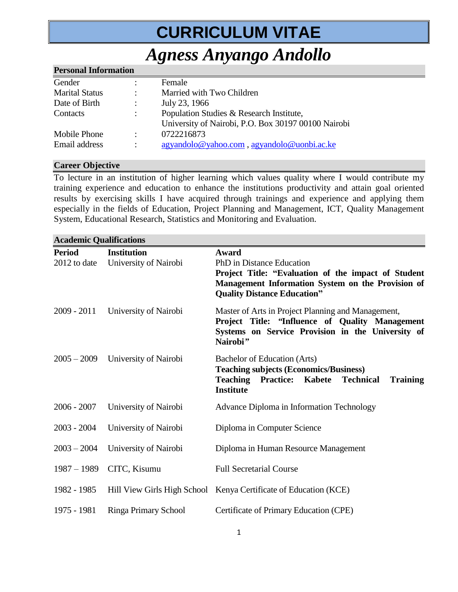# **CURRICULUM VITAE**

## *Agness Anyango Andollo*

| <b>Personal Information</b> |                      |                                                     |  |  |
|-----------------------------|----------------------|-----------------------------------------------------|--|--|
| Gender                      |                      | Female                                              |  |  |
| <b>Marital Status</b>       |                      | Married with Two Children                           |  |  |
| Date of Birth               |                      | July 23, 1966                                       |  |  |
| Contacts                    | $\ddot{\phantom{a}}$ | Population Studies & Research Institute,            |  |  |
|                             |                      | University of Nairobi, P.O. Box 30197 00100 Nairobi |  |  |
| Mobile Phone                | ÷                    | 0722216873                                          |  |  |
| Email address               |                      | agyandolo@yahoo.com, agyandolo@uonbi.ac.ke          |  |  |
|                             |                      |                                                     |  |  |

#### **Career Objective**

To lecture in an institution of higher learning which values quality where I would contribute my training experience and education to enhance the institutions productivity and attain goal oriented results by exercising skills I have acquired through trainings and experience and applying them especially in the fields of Education, Project Planning and Management, ICT, Quality Management System, Educational Research, Statistics and Monitoring and Evaluation.

| Atauthne Quanntations |                             |                                                                                      |
|-----------------------|-----------------------------|--------------------------------------------------------------------------------------|
| <b>Period</b>         | <b>Institution</b>          | Award                                                                                |
| 2012 to date          | University of Nairobi       | PhD in Distance Education                                                            |
|                       |                             | Project Title: "Evaluation of the impact of Student                                  |
|                       |                             | Management Information System on the Provision of                                    |
|                       |                             | <b>Quality Distance Education"</b>                                                   |
| $2009 - 2011$         | University of Nairobi       | Master of Arts in Project Planning and Management,                                   |
|                       |                             | Project Title: "Influence of Quality Management                                      |
|                       |                             | Systems on Service Provision in the University of                                    |
|                       |                             | Nairobi"                                                                             |
| $2005 - 2009$         | University of Nairobi       | Bachelor of Education (Arts)                                                         |
|                       |                             | <b>Teaching subjects (Economics/Business)</b>                                        |
|                       |                             | <b>Teaching</b><br>Kabete<br><b>Technical</b><br><b>Practice:</b><br><b>Training</b> |
|                       |                             | <b>Institute</b>                                                                     |
| $2006 - 2007$         | University of Nairobi       | Advance Diploma in Information Technology                                            |
|                       |                             |                                                                                      |
| $2003 - 2004$         | University of Nairobi       | Diploma in Computer Science                                                          |
| $2003 - 2004$         | University of Nairobi       | Diploma in Human Resource Management                                                 |
|                       |                             |                                                                                      |
| $1987 - 1989$         | CITC, Kisumu                | <b>Full Secretarial Course</b>                                                       |
|                       |                             |                                                                                      |
| 1982 - 1985           |                             | Hill View Girls High School Kenya Certificate of Education (KCE)                     |
| 1975 - 1981           | <b>Ringa Primary School</b> | Certificate of Primary Education (CPE)                                               |
|                       |                             |                                                                                      |

### **Academic Qualifications**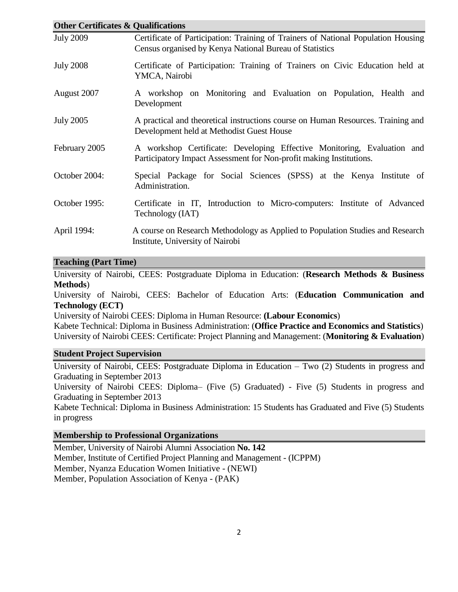| <b>Other Certificates &amp; Qualifications</b> |                                                                                                                                                |  |  |  |
|------------------------------------------------|------------------------------------------------------------------------------------------------------------------------------------------------|--|--|--|
| <b>July 2009</b>                               | Certificate of Participation: Training of Trainers of National Population Housing<br>Census organised by Kenya National Bureau of Statistics   |  |  |  |
| <b>July 2008</b>                               | Certificate of Participation: Training of Trainers on Civic Education held at<br>YMCA, Nairobi                                                 |  |  |  |
| August 2007                                    | A workshop on Monitoring and Evaluation on Population, Health and<br>Development                                                               |  |  |  |
| <b>July 2005</b>                               | A practical and theoretical instructions course on Human Resources. Training and<br>Development held at Methodist Guest House                  |  |  |  |
| February 2005                                  | A workshop Certificate: Developing Effective Monitoring, Evaluation and<br>Participatory Impact Assessment for Non-profit making Institutions. |  |  |  |
| October 2004:                                  | Special Package for Social Sciences (SPSS) at the Kenya Institute of<br>Administration.                                                        |  |  |  |
| October 1995:                                  | Certificate in IT, Introduction to Micro-computers: Institute of Advanced<br>Technology (IAT)                                                  |  |  |  |
| April 1994:                                    | A course on Research Methodology as Applied to Population Studies and Research<br>Institute, University of Nairobi                             |  |  |  |

#### **Teaching (Part Time)**

University of Nairobi, CEES: Postgraduate Diploma in Education: (**Research Methods & Business Methods**)

University of Nairobi, CEES: Bachelor of Education Arts: (**Education Communication and Technology (ECT)** 

University of Nairobi CEES: Diploma in Human Resource: **(Labour Economics**)

Kabete Technical: Diploma in Business Administration: (**Office Practice and Economics and Statistics**) University of Nairobi CEES: Certificate: Project Planning and Management: (**Monitoring & Evaluation**)

#### **Student Project Supervision**

University of Nairobi, CEES: Postgraduate Diploma in Education – Two (2) Students in progress and Graduating in September 2013

University of Nairobi CEES: Diploma– (Five (5) Graduated) - Five (5) Students in progress and Graduating in September 2013

Kabete Technical: Diploma in Business Administration: 15 Students has Graduated and Five (5) Students in progress

#### **Membership to Professional Organizations**

Member, University of Nairobi Alumni Association **No. 142** Member, Institute of Certified Project Planning and Management - (ICPPM) Member, Nyanza Education Women Initiative - (NEWI) Member, Population Association of Kenya - (PAK)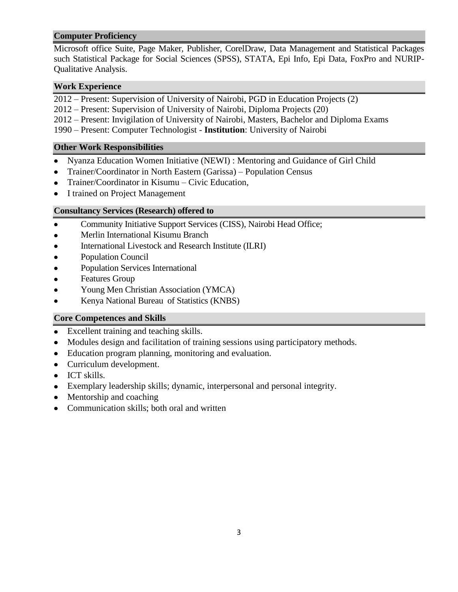#### **Computer Proficiency**

Microsoft office Suite, Page Maker, Publisher, CorelDraw, Data Management and Statistical Packages such Statistical Package for Social Sciences (SPSS), STATA, Epi Info, Epi Data, FoxPro and NURIP-Qualitative Analysis.

#### **Work Experience**

2012 – Present: Supervision of University of Nairobi, PGD in Education Projects (2)

- 2012 Present: Supervision of University of Nairobi, Diploma Projects (20)
- 2012 Present: Invigilation of University of Nairobi, Masters, Bachelor and Diploma Exams
- 1990 Present: Computer Technologist **Institution**: University of Nairobi

#### **Other Work Responsibilities**

- Nyanza Education Women Initiative (NEWI) : Mentoring and Guidance of Girl Child
- Trainer/Coordinator in North Eastern (Garissa) Population Census
- Trainer/Coordinator in Kisumu Civic Education,
- I trained on Project Management  $\bullet$

#### **Consultancy Services (Research) offered to**

- Community Initiative Support Services (CISS), Nairobi Head Office;
- Merlin International Kisumu Branch  $\bullet$
- International Livestock and Research Institute (ILRI)
- Population Council  $\bullet$
- Population Services International  $\bullet$
- Features Group
- Young Men Christian Association (YMCA)
- Kenya National Bureau of Statistics (KNBS)

#### **Core Competences and Skills**

- Excellent training and teaching skills.
- Modules design and facilitation of training sessions using participatory methods.  $\bullet$
- Education program planning, monitoring and evaluation.
- Curriculum development.
- ICT skills.
- Exemplary leadership skills; dynamic, interpersonal and personal integrity.
- Mentorship and coaching  $\bullet$
- Communication skills; both oral and written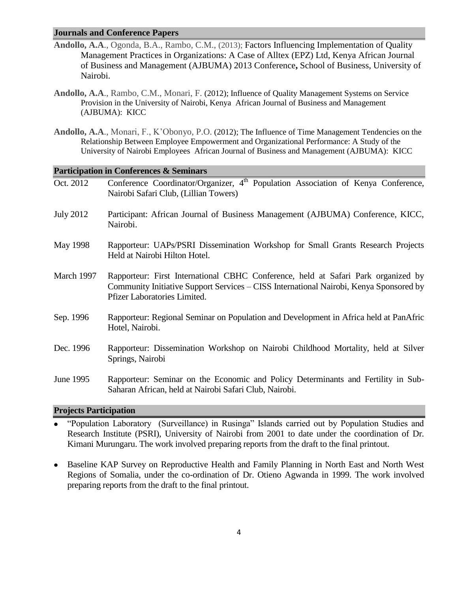#### **Journals and Conference Papers**

- **Andollo, A.A**., Ogonda, B.A., Rambo, C.M., (2013); Factors Influencing Implementation of Quality Management Practices in Organizations: A Case of Alltex (EPZ) Ltd, Kenya African Journal of Business and Management (AJBUMA) 2013 Conference**,** School of Business, University of Nairobi.
- **Andollo, A.A**., Rambo, C.M., Monari, F. (2012); Influence of Quality Management Systems on Service Provision in the University of Nairobi, Kenya [African Journal of Business and Management](http://www.aibuma.org/journal/hjournal.htm)  [\(AJBUMA\):](http://www.aibuma.org/journal/hjournal.htm) KICC
- **Andollo, A.A**., Monari, F., K'Obonyo, P.O. (2012); The Influence of Time Management Tendencies on the Relationship Between Employee Empowerment and Organizational Performance: A Study of the University of Nairobi Employees [African Journal of Business and Management \(AJBUMA\):](http://www.aibuma.org/journal/hjournal.htm) KICC

#### **Participation in Conferences & Seminars**

| Oct. 2012        | Conference Coordinator/Organizer, 4 <sup>th</sup> Population Association of Kenya Conference,                                                                                                               |
|------------------|-------------------------------------------------------------------------------------------------------------------------------------------------------------------------------------------------------------|
|                  | Nairobi Safari Club, (Lillian Towers)                                                                                                                                                                       |
| <b>July 2012</b> | Participant: African Journal of Business Management (AJBUMA) Conference, KICC,<br>Nairobi.                                                                                                                  |
| May 1998         | Rapporteur: UAPs/PSRI Dissemination Workshop for Small Grants Research Projects<br>Held at Nairobi Hilton Hotel.                                                                                            |
| March 1997       | Rapporteur: First International CBHC Conference, held at Safari Park organized by<br>Community Initiative Support Services – CISS International Nairobi, Kenya Sponsored by<br>Pfizer Laboratories Limited. |
| Sep. 1996        | Rapporteur: Regional Seminar on Population and Development in Africa held at PanAfric<br>Hotel, Nairobi.                                                                                                    |
| Dec. 1996        | Rapporteur: Dissemination Workshop on Nairobi Childhood Mortality, held at Silver<br>Springs, Nairobi                                                                                                       |
| June 1995        | Rapporteur: Seminar on the Economic and Policy Determinants and Fertility in Sub-<br>Saharan African, held at Nairobi Safari Club, Nairobi.                                                                 |

#### **Projects Participation**

- "Population Laboratory (Surveillance) in Rusinga" Islands carried out by Population Studies and Research Institute (PSRI), University of Nairobi from 2001 to date under the coordination of Dr. Kimani Murungaru. The work involved preparing reports from the draft to the final printout.
- Baseline KAP Survey on Reproductive Health and Family Planning in North East and North West Regions of Somalia, under the co-ordination of Dr. Otieno Agwanda in 1999. The work involved preparing reports from the draft to the final printout.